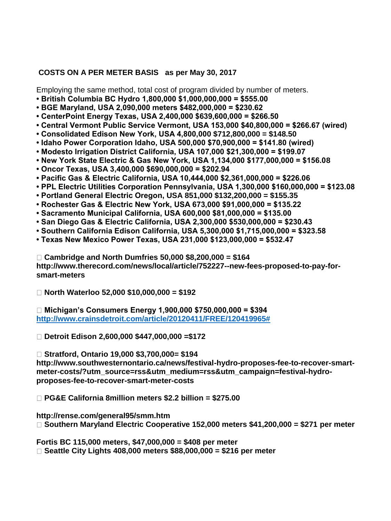## **COSTS ON A PER METER BASIS as per May 30, 2017**

Employing the same method, total cost of program divided by number of meters.

- **British Columbia BC Hydro 1,800,000 \$1,000,000,000 = \$555.00**
- **BGE Maryland, USA 2,090,000 meters \$482,000,000 = \$230.62**
- **CenterPoint Energy Texas, USA 2,400,000 \$639,600,000 = \$266.50**
- **Central Vermont Public Service Vermont, USA 153,000 \$40,800,000 = \$266.67 (wired)**
- **Consolidated Edison New York, USA 4,800,000 \$712,800,000 = \$148.50**
- **Idaho Power Corporation Idaho, USA 500,000 \$70,900,000 = \$141.80 (wired)**
- **Modesto Irrigation District California, USA 107,000 \$21,300,000 = \$199.07**

**• New York State Electric & Gas New York, USA 1,134,000 \$177,000,000 = \$156.08** 

- **Oncor Texas, USA 3,400,000 \$690,000,000 = \$202.94**
- **Pacific Gas & Electric California, USA 10,444,000 \$2,361,000,000 = \$226.06**
- **PPL Electric Utilities Corporation Pennsylvania, USA 1,300,000 \$160,000,000 = \$123.08**
- **Portland General Electric Oregon, USA 851,000 \$132,200,000 = \$155.35**
- **Rochester Gas & Electric New York, USA 673,000 \$91,000,000 = \$135.22**
- **Sacramento Municipal California, USA 600,000 \$81,000,000 = \$135.00**
- **San Diego Gas & Electric California, USA 2,300,000 \$530,000,000 = \$230.43**
- **Southern California Edison California, USA 5,300,000 \$1,715,000,000 = \$323.58**
- **Texas New Mexico Power Texas, USA 231,000 \$123,000,000 = \$532.47**

**Cambridge and North Dumfries 50,000 \$8,200,000 = \$164 http://www.therecord.com/news/local/article/752227--new-fees-proposed-to-pay-forsmart-meters** 

**North Waterloo 52,000 \$10,000,000 = \$192** 

**Michigan's Consumers Energy 1,900,000 \$750,000,000 = \$394 [http://www.crainsdetroit.com/article/20120411/FREE/120419965#](http://www.crainsdetroit.com/article/20120411/FREE/120419965)**

**Detroit Edison 2,600,000 \$447,000,000 =\$172** 

**Stratford, Ontario 19,000 \$3,700,000= \$194** 

**http://www.southwesternontario.ca/news/festival-hydro-proposes-fee-to-recover-smartmeter-costs/?utm\_source=rss&utm\_medium=rss&utm\_campaign=festival-hydroproposes-fee-to-recover-smart-meter-costs** 

**PG&E California 8million meters \$2.2 billion = \$275.00** 

**http://rense.com/general95/smm.htm** 

**Southern Maryland Electric Cooperative 152,000 meters \$41,200,000 = \$271 per meter** 

**Fortis BC 115,000 meters, \$47,000,000 = \$408 per meter** 

**Seattle City Lights 408,000 meters \$88,000,000 = \$216 per meter**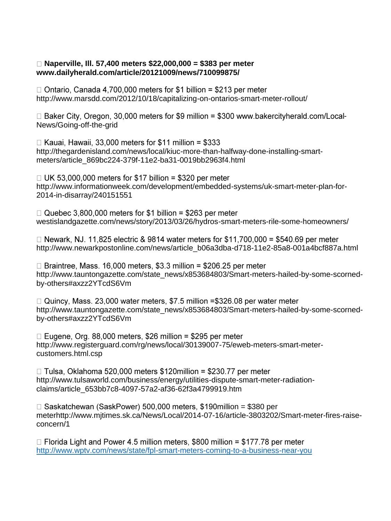## **Naperville, Ill. 57,400 meters \$22,000,000 = \$383 per meter www.dailyherald.com/article/20121009/news/710099875/**

 $\Box$  Ontario. Canada 4.700.000 meters for \$1 billion = \$213 per meter http://www.marsdd.com/2012/10/18/capitalizing-on-ontarios-smart-meter-rollout/

□ Baker City, Oregon, 30,000 meters for \$9 million = \$300 www.bakercityherald.com/Local-News/Going-off-the-grid

 $\Box$  Kauai, Hawaii, 33,000 meters for \$11 million = \$333 http://thegardenisland.com/news/local/kiuc-more-than-halfway-done-installing-smartmeters/article\_869bc224-379f-11e2-ba31-0019bb2963f4.html

 $\Box$  UK 53,000,000 meters for \$17 billion = \$320 per meter http://www.informationweek.com/development/embedded-systems/uk-smart-meter-plan-for-2014-in-disarray/240151551

 $\Box$  Quebec 3,800,000 meters for \$1 billion = \$263 per meter westislandgazette.com/news/story/2013/03/26/hydros-smart-meters-rile-some-homeowners/

 $\Box$  Newark, NJ, 11,825 electric & 9814 water meters for \$11,700,000 = \$540.69 per meter http://www.newarkpostonline.com/news/article\_b06a3dba-d718-11e2-85a8-001a4bcf887a.html

 $\Box$  Braintree, Mass. 16,000 meters, \$3.3 million = \$206.25 per meter http://www.tauntongazette.com/state\_news/x853684803/Smart-meters-hailed-by-some-scornedby-others#axzz2YTcdS6Vm

 $\Box$  Quincy, Mass. 23,000 water meters, \$7.5 million =\$326.08 per water meter http://www.tauntongazette.com/state\_news/x853684803/Smart-meters-hailed-by-some-scornedby-others#axzz2YTcdS6Vm

 $\Box$  Eugene, Org. 88,000 meters, \$26 million = \$295 per meter http://www.registerguard.com/rg/news/local/30139007-75/eweb-meters-smart-metercustomers.html.csp

 $\Box$  Tulsa. Oklahoma 520.000 meters \$120million = \$230.77 per meter http://www.tulsaworld.com/business/energy/utilities-dispute-smart-meter-radiationclaims/article\_653bb7c8-4097-57a2-af36-62f3a4799919.htm

 $\Box$  Saskatchewan (SaskPower) 500,000 meters, \$190 million = \$380 per meterhttp://www.mjtimes.sk.ca/News/Local/2014-07-16/article-3803202/Smart-meter-fires-raiseconcern/1

 $\Box$  Florida Light and Power 4.5 million meters, \$800 million = \$177.78 per meter <http://www.wptv.com/news/state/fpl-smart-meters-coming-to-a-business-near-you>